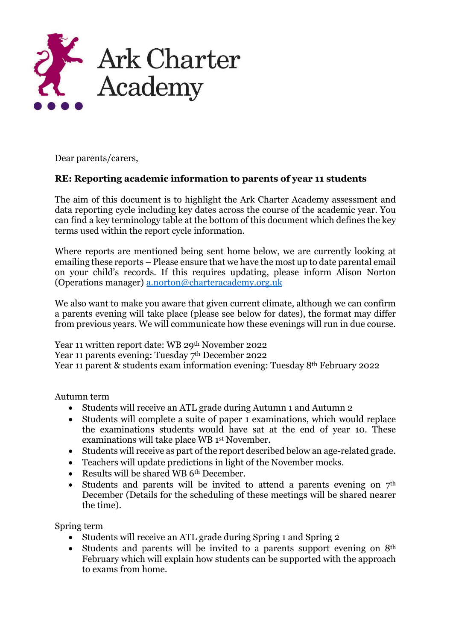

Dear parents/carers,

## **RE: Reporting academic information to parents of year 11 students**

The aim of this document is to highlight the Ark Charter Academy assessment and data reporting cycle including key dates across the course of the academic year. You can find a key terminology table at the bottom of this document which defines the key terms used within the report cycle information.

Where reports are mentioned being sent home below, we are currently looking at emailing these reports – Please ensure that we have the most up to date parental email on your child's records. If this requires updating, please inform Alison Norton (Operations manager) [a.norton@charteracademy.org.uk](mailto:a.norton@charteracademy.org.uk*)

We also want to make you aware that given current climate, although we can confirm a parents evening will take place (please see below for dates), the format may differ from previous years. We will communicate how these evenings will run in due course.

Year 11 written report date: WB 29th November 2022 Year 11 parents evening: Tuesday 7<sup>th</sup> December 2022 Year 11 parent & students exam information evening: Tuesday 8th February 2022

Autumn term

- Students will receive an ATL grade during Autumn 1 and Autumn 2
- Students will complete a suite of paper 1 examinations, which would replace the examinations students would have sat at the end of year 10. These examinations will take place WB 1st November.
- Students will receive as part of the report described below an age-related grade.
- Teachers will update predictions in light of the November mocks.
- Results will be shared WB 6<sup>th</sup> December.
- Students and parents will be invited to attend a parents evening on  $7<sup>th</sup>$ December (Details for the scheduling of these meetings will be shared nearer the time).

Spring term

- Students will receive an ATL grade during Spring 1 and Spring 2
- Students and parents will be invited to a parents support evening on 8<sup>th</sup> February which will explain how students can be supported with the approach to exams from home.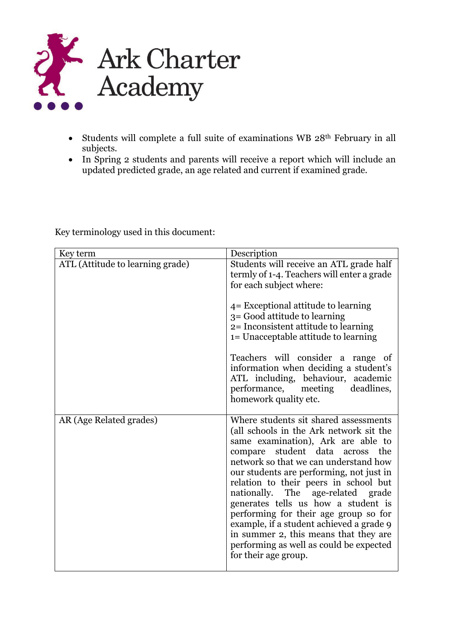

- Students will complete a full suite of examinations WB 28th February in all subjects.
- In Spring 2 students and parents will receive a report which will include an updated predicted grade, an age related and current if examined grade.

| Key term                         | Description                                                                                                                                                                                                                                                                                                                                                                                                                                                                                                                                                             |
|----------------------------------|-------------------------------------------------------------------------------------------------------------------------------------------------------------------------------------------------------------------------------------------------------------------------------------------------------------------------------------------------------------------------------------------------------------------------------------------------------------------------------------------------------------------------------------------------------------------------|
| ATL (Attitude to learning grade) | Students will receive an ATL grade half<br>termly of 1-4. Teachers will enter a grade<br>for each subject where:<br>$4$ = Exceptional attitude to learning<br>3 = Good attitude to learning<br>2= Inconsistent attitude to learning<br>1= Unacceptable attitude to learning<br>Teachers will consider a range of<br>information when deciding a student's<br>ATL including, behaviour, academic                                                                                                                                                                         |
|                                  | performance, meeting deadlines,<br>homework quality etc.                                                                                                                                                                                                                                                                                                                                                                                                                                                                                                                |
| AR (Age Related grades)          | Where students sit shared assessments<br>(all schools in the Ark network sit the<br>same examination), Ark are able to<br>compare student data across<br>the<br>network so that we can understand how<br>our students are performing, not just in<br>relation to their peers in school but<br>nationally. The age-related grade<br>generates tells us how a student is<br>performing for their age group so for<br>example, if a student achieved a grade 9<br>in summer 2, this means that they are<br>performing as well as could be expected<br>for their age group. |

Key terminology used in this document: